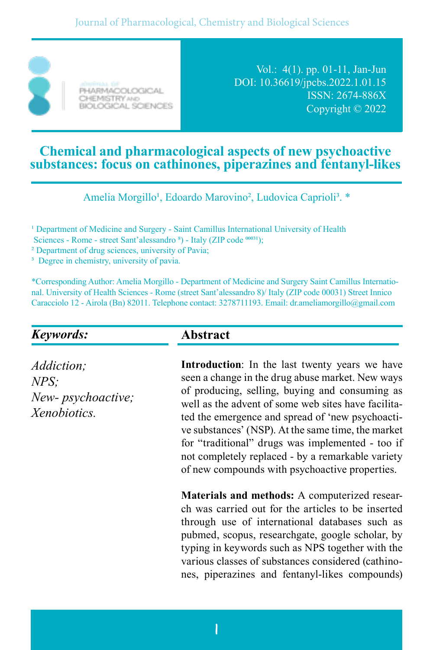### Journal of Pharmacological, Chemistry and Biological Sciences



PHARMACOLOGICAL CHEMISTRY NO

Vol.: 4(1). pp. 01-11, Jan-Jun DOI: 10.36619/jpcbs.2022.1.01.15 ISSN: 2674-886X Copyright © 2022

# **Chemical and pharmacological aspects of new psychoactive substances: focus on cathinones, piperazines and fentanyl-likes**

Amelia Morgillo<sup>1</sup>, Edoardo Marovino<sup>2</sup>, Ludovica Caprioli<sup>3</sup>. \*

<sup>1</sup> Department of Medicine and Surgery - Saint Camillus International University of Health

Sciences - Rome - street Sant'alessandro <sup>8</sup>) - Italy (ZIP code <sup>00031</sup>);

2 Department of drug sciences, university of Pavia;

<sup>3</sup> Degree in chemistry, university of pavia.

\*Corresponding Author: Amelia Morgillo - Department of Medicine and Surgery Saint Camillus International. University of Health Sciences - Rome (street Sant'alessandro 8)/ Italy (ZIP code 00031) Street Innico Caracciolo 12 - Airola (Bn) 82011. Telephone contact: 3278711193. Email: dr.ameliamorgillo@gmail.com

# *Keywords:*

*Addiction; NPS; New- psychoactive; Xenobiotics.*

# **Abstract**

**Introduction**: In the last twenty years we have seen a change in the drug abuse market. New ways of producing, selling, buying and consuming as well as the advent of some web sites have facilitated the emergence and spread of 'new psychoactive substances' (NSP). At the same time, the market for "traditional" drugs was implemented - too if not completely replaced - by a remarkable variety of new compounds with psychoactive properties.

**Materials and methods:** A computerized research was carried out for the articles to be inserted through use of international databases such as pubmed, scopus, researchgate, google scholar, by typing in keywords such as NPS together with the various classes of substances considered (cathinones, piperazines and fentanyl-likes compounds)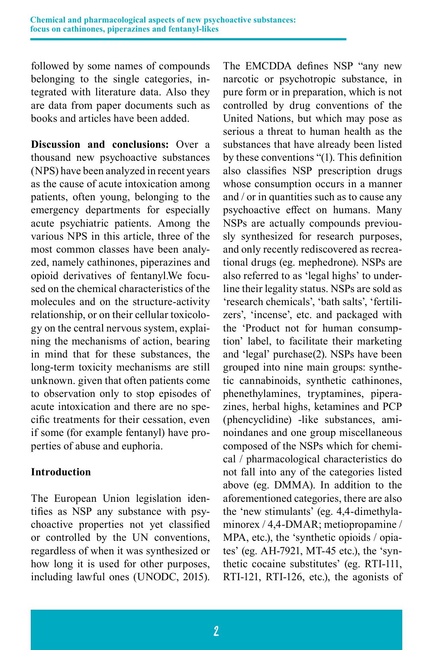followed by some names of compounds belonging to the single categories, integrated with literature data. Also they are data from paper documents such as books and articles have been added.

**Discussion and conclusions:** Over a thousand new psychoactive substances (NPS) have been analyzed in recent years as the cause of acute intoxication among patients, often young, belonging to the emergency departments for especially acute psychiatric patients. Among the various NPS in this article, three of the most common classes have been analyzed, namely cathinones, piperazines and opioid derivatives of fentanyl.We focused on the chemical characteristics of the molecules and on the structure-activity relationship, or on their cellular toxicology on the central nervous system, explaining the mechanisms of action, bearing in mind that for these substances, the long-term toxicity mechanisms are still unknown. given that often patients come to observation only to stop episodes of acute intoxication and there are no specific treatments for their cessation, even if some (for example fentanyl) have properties of abuse and euphoria.

## **Introduction**

The European Union legislation identifies as NSP any substance with psychoactive properties not yet classified or controlled by the UN conventions, regardless of when it was synthesized or how long it is used for other purposes, including lawful ones (UNODC, 2015).

The EMCDDA defines NSP "any new narcotic or psychotropic substance, in pure form or in preparation, which is not controlled by drug conventions of the United Nations, but which may pose as serious a threat to human health as the substances that have already been listed by these conventions "(1). This definition also classifies NSP prescription drugs whose consumption occurs in a manner and / or in quantities such as to cause any psychoactive effect on humans. Many NSPs are actually compounds previously synthesized for research purposes, and only recently rediscovered as recreational drugs (eg. mephedrone). NSPs are also referred to as 'legal highs' to underline their legality status. NSPs are sold as 'research chemicals', 'bath salts', 'fertilizers', 'incense', etc. and packaged with the 'Product not for human consumption' label, to facilitate their marketing and 'legal' purchase(2). NSPs have been grouped into nine main groups: synthetic cannabinoids, synthetic cathinones, phenethylamines, tryptamines, piperazines, herbal highs, ketamines and PCP (phencyclidine) -like substances, aminoindanes and one group miscellaneous composed of the NSPs which for chemical / pharmacological characteristics do not fall into any of the categories listed above (eg. DMMA). In addition to the aforementioned categories, there are also the 'new stimulants' (eg. 4,4-dimethylaminorex / 4,4-DMAR; metiopropamine / MPA, etc.), the 'synthetic opioids / opiates' (eg. AH-7921, MT-45 etc.), the 'synthetic cocaine substitutes' (eg. RTI-111, RTI-121, RTI-126, etc.), the agonists of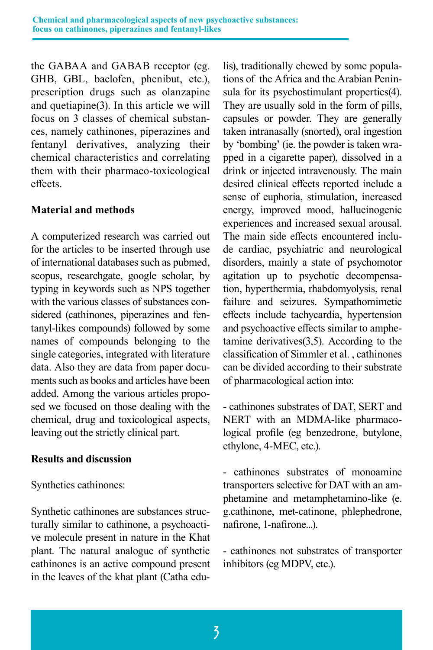the GABAA and GABAB receptor (eg. GHB, GBL, baclofen, phenibut, etc.), prescription drugs such as olanzapine and quetiapine(3). In this article we will focus on 3 classes of chemical substances, namely cathinones, piperazines and fentanyl derivatives, analyzing their chemical characteristics and correlating them with their pharmaco-toxicological effects.

### **Material and methods**

A computerized research was carried out for the articles to be inserted through use of international databases such as pubmed, scopus, researchgate, google scholar, by typing in keywords such as NPS together with the various classes of substances considered (cathinones, piperazines and fentanyl-likes compounds) followed by some names of compounds belonging to the single categories, integrated with literature data. Also they are data from paper documents such as books and articles have been added. Among the various articles proposed we focused on those dealing with the chemical, drug and toxicological aspects, leaving out the strictly clinical part.

#### **Results and discussion**

#### Synthetics cathinones:

Synthetic cathinones are substances structurally similar to cathinone, a psychoactive molecule present in nature in the Khat plant. The natural analogue of synthetic cathinones is an active compound present in the leaves of the khat plant (Catha edu-

lis), traditionally chewed by some populations of the Africa and the Arabian Peninsula for its psychostimulant properties(4). They are usually sold in the form of pills, capsules or powder. They are generally taken intranasally (snorted), oral ingestion by 'bombing' (ie. the powder is taken wrapped in a cigarette paper), dissolved in a drink or injected intravenously. The main desired clinical effects reported include a sense of euphoria, stimulation, increased energy, improved mood, hallucinogenic experiences and increased sexual arousal. The main side effects encountered include cardiac, psychiatric and neurological disorders, mainly a state of psychomotor agitation up to psychotic decompensation, hyperthermia, rhabdomyolysis, renal failure and seizures. Sympathomimetic effects include tachycardia, hypertension and psychoactive effects similar to amphetamine derivatives(3,5). According to the classification of Simmler et al. , cathinones can be divided according to their substrate of pharmacological action into:

- cathinones substrates of DAT, SERT and NERT with an MDMA-like pharmacological profile (eg benzedrone, butylone, ethylone, 4-MEC, etc.).

- cathinones substrates of monoamine transporters selective for DAT with an amphetamine and metamphetamino-like (e. g.cathinone, met-catinone, phlephedrone, nafirone, 1-nafirone...).

- cathinones not substrates of transporter inhibitors (eg MDPV, etc.).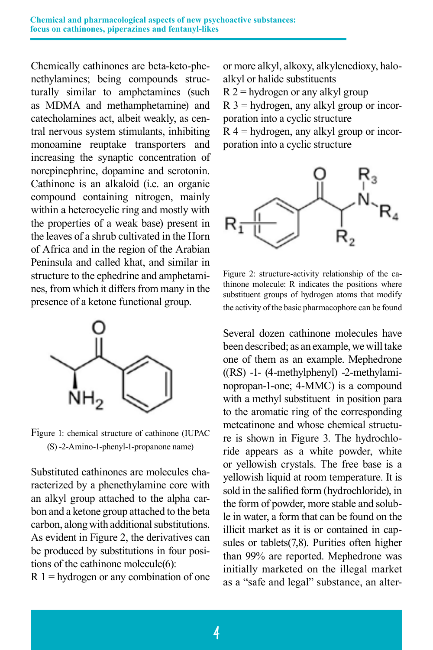Chemically cathinones are beta-keto-phenethylamines; being compounds structurally similar to amphetamines (such as MDMA and methamphetamine) and catecholamines act, albeit weakly, as central nervous system stimulants, inhibiting monoamine reuptake transporters and increasing the synaptic concentration of norepinephrine, dopamine and serotonin. Cathinone is an alkaloid (i.e. an organic compound containing nitrogen, mainly within a heterocyclic ring and mostly with the properties of a weak base) present in the leaves of a shrub cultivated in the Horn of Africa and in the region of the Arabian Peninsula and called khat, and similar in structure to the ephedrine and amphetamines, from which it differs from many in the presence of a ketone functional group.



Figure 1: chemical structure of cathinone (IUPAC (S) -2-Amino-1-phenyl-1-propanone name)

Substituted cathinones are molecules characterized by a phenethylamine core with an alkyl group attached to the alpha carbon and a ketone group attached to the beta carbon, along with additional substitutions. As evident in Figure 2, the derivatives can be produced by substitutions in four positions of the cathinone molecule(6):

 $R<sub>1</sub>$  = hydrogen or any combination of one

or more alkyl, alkoxy, alkylenedioxy, haloalkyl or halide substituents  $R$  2 = hydrogen or any alkyl group  $R$  3 = hydrogen, any alkyl group or incorporation into a cyclic structure  $R$  4 = hydrogen, any alkyl group or incorporation into a cyclic structure



Figure 2: structure-activity relationship of the cathinone molecule: R indicates the positions where substituent groups of hydrogen atoms that modify the activity of the basic pharmacophore can be found

Several dozen cathinone molecules have been described; as an example, we will take one of them as an example. Mephedrone ((RS) -1- (4-methylphenyl) -2-methylaminopropan-1-one; 4-MMC) is a compound with a methyl substituent in position para to the aromatic ring of the corresponding metcatinone and whose chemical structure is shown in Figure 3. The hydrochloride appears as a white powder, white or yellowish crystals. The free base is a yellowish liquid at room temperature. It is sold in the salified form (hydrochloride), in the form of powder, more stable and soluble in water, a form that can be found on the illicit market as it is or contained in capsules or tablets(7,8). Purities often higher than 99% are reported. Mephedrone was initially marketed on the illegal market as a "safe and legal" substance, an alter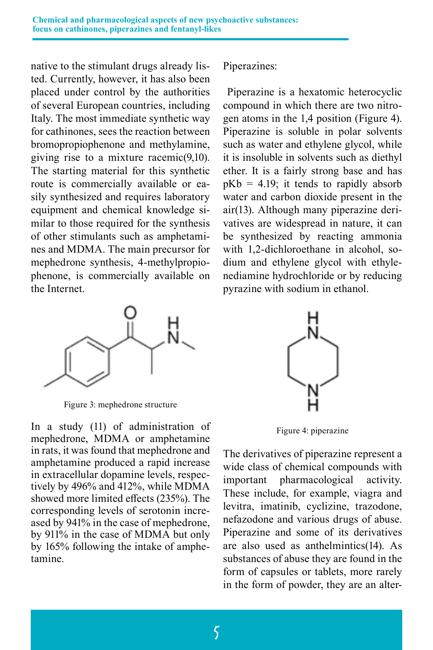native to the stimulant drugs already listed. Currently, however, it has also been placed under control by the authorities of several European countries, including Italy. The most immediate synthetic way for cathinones, sees the reaction between bromopropiophenone and methylamine, giving rise to a mixture racemic(9,10). The starting material for this synthetic route is commercially available or easily synthesized and requires laboratory equipment and chemical knowledge similar to those required for the synthesis of other stimulants such as amphetamines and MDMA. The main precursor for mephedrone synthesis, 4-methylpropiophenone, is commercially available on the Internet.



Figure 3: mephedrone structure

In a study (11) of administration of mephedrone, MDMA or amphetamine in rats, it was found that mephedrone and amphetamine produced a rapid increase in extracellular dopamine levels, respectively by 496% and 412%, while MDMA showed more limited effects (235%). The corresponding levels of serotonin increased by 941% in the case of mephedrone, by 911% in the case of MDMA but only by 165% following the intake of amphetamine.

Piperazines:

 Piperazine is a hexatomic heterocyclic compound in which there are two nitrogen atoms in the 1,4 position (Figure 4). Piperazine is soluble in polar solvents such as water and ethylene glycol, while it is insoluble in solvents such as diethyl ether. It is a fairly strong base and has  $pKb = 4.19$ ; it tends to rapidly absorb water and carbon dioxide present in the air(13). Although many piperazine derivatives are widespread in nature, it can be synthesized by reacting ammonia with 1,2-dichloroethane in alcohol, sodium and ethylene glycol with ethylenediamine hydrochloride or by reducing pyrazine with sodium in ethanol.



Figure 4: piperazine

The derivatives of piperazine represent a wide class of chemical compounds with important pharmacological activity. These include, for example, viagra and levitra, imatinib, cyclizine, trazodone, nefazodone and various drugs of abuse. Piperazine and some of its derivatives are also used as anthelmintics(14). As substances of abuse they are found in the form of capsules or tablets, more rarely in the form of powder, they are an alter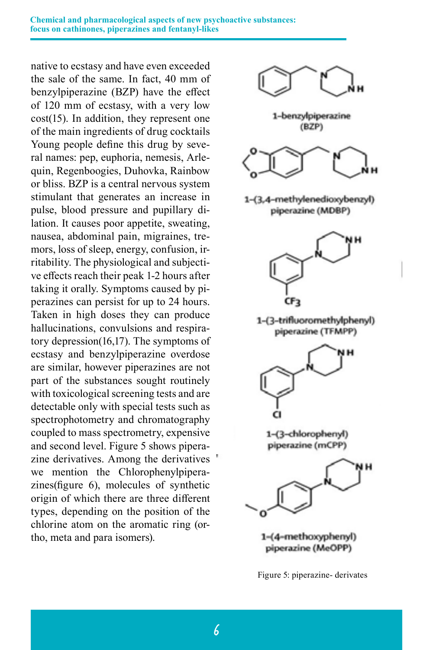**Chemical and pharmacological aspects of new psychoactive substances: focus on cathinones, piperazines and fentanyl-likes**

native to ecstasy and have even exceeded the sale of the same. In fact, 40 mm of benzylpiperazine (BZP) have the effect of 120 mm of ecstasy, with a very low cost(15). In addition, they represent one of the main ingredients of drug cocktails Young people define this drug by several names: pep, euphoria, nemesis, Arlequin, Regenboogies, Duhovka, Rainbow or bliss. BZP is a central nervous system stimulant that generates an increase in pulse, blood pressure and pupillary dilation. It causes poor appetite, sweating, nausea, abdominal pain, migraines, tremors, loss of sleep, energy, confusion, irritability. The physiological and subjective effects reach their peak 1-2 hours after taking it orally. Symptoms caused by piperazines can persist for up to 24 hours. Taken in high doses they can produce hallucinations, convulsions and respiratory depression(16,17). The symptoms of ecstasy and benzylpiperazine overdose are similar, however piperazines are not part of the substances sought routinely with toxicological screening tests and are detectable only with special tests such as spectrophotometry and chromatography coupled to mass spectrometry, expensive and second level. Figure 5 shows piperazine derivatives. Among the derivatives ' we mention the Chlorophenylpiperazines(figure 6), molecules of synthetic origin of which there are three different types, depending on the position of the chlorine atom on the aromatic ring (ortho, meta and para isomers).



Figure 5: piperazine- derivates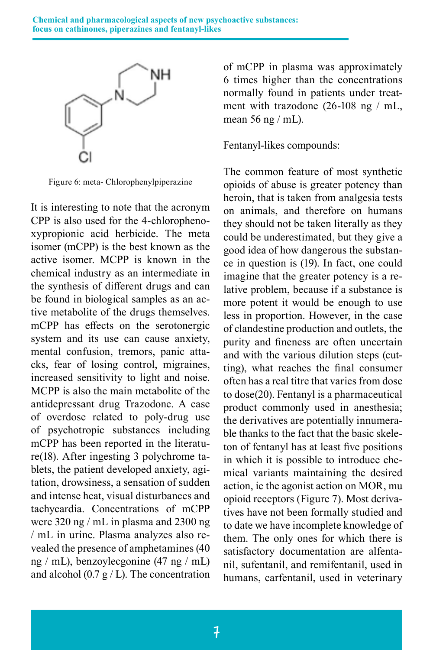![](_page_6_Figure_1.jpeg)

Figure 6: meta- Chlorophenylpiperazine

It is interesting to note that the acronym CPP is also used for the 4-chlorophenoxypropionic acid herbicide. The meta isomer (mCPP) is the best known as the active isomer. MCPP is known in the chemical industry as an intermediate in the synthesis of different drugs and can be found in biological samples as an active metabolite of the drugs themselves. mCPP has effects on the serotonergic system and its use can cause anxiety, mental confusion, tremors, panic attacks, fear of losing control, migraines, increased sensitivity to light and noise. MCPP is also the main metabolite of the antidepressant drug Trazodone. A case of overdose related to poly-drug use of psychotropic substances including mCPP has been reported in the literature(18). After ingesting 3 polychrome tablets, the patient developed anxiety, agitation, drowsiness, a sensation of sudden and intense heat, visual disturbances and tachycardia. Concentrations of mCPP were 320 ng / mL in plasma and 2300 ng / mL in urine. Plasma analyzes also revealed the presence of amphetamines (40 ng / mL), benzoylecgonine (47 ng / mL) and alcohol (0.7  $g / L$ ). The concentration

of mCPP in plasma was approximately 6 times higher than the concentrations normally found in patients under treatment with trazodone (26-108 ng / mL, mean 56 ng / mL).

Fentanyl-likes compounds:

The common feature of most synthetic opioids of abuse is greater potency than heroin, that is taken from analgesia tests on animals, and therefore on humans they should not be taken literally as they could be underestimated, but they give a good idea of how dangerous the substance in question is (19). In fact, one could imagine that the greater potency is a relative problem, because if a substance is more potent it would be enough to use less in proportion. However, in the case of clandestine production and outlets, the purity and fineness are often uncertain and with the various dilution steps (cutting), what reaches the final consumer often has a real titre that varies from dose to dose(20). Fentanyl is a pharmaceutical product commonly used in anesthesia; the derivatives are potentially innumerable thanks to the fact that the basic skeleton of fentanyl has at least five positions in which it is possible to introduce chemical variants maintaining the desired action, ie the agonist action on MOR, mu opioid receptors (Figure 7). Most derivatives have not been formally studied and to date we have incomplete knowledge of them. The only ones for which there is satisfactory documentation are alfentanil, sufentanil, and remifentanil, used in humans, carfentanil, used in veterinary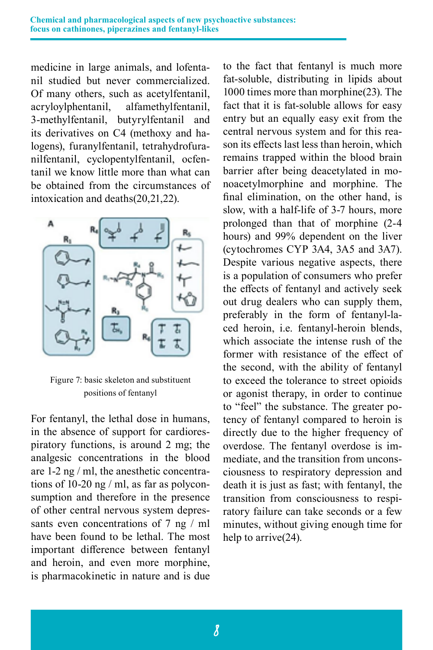medicine in large animals, and lofentanil studied but never commercialized. Of many others, such as acetylfentanil,<br>acrylovlphentanil, alfamethylfentanil, acryloylphentanil, 3-methylfentanil, butyrylfentanil and its derivatives on C4 (methoxy and halogens), furanylfentanil, tetrahydrofuranilfentanil, cyclopentylfentanil, ocfentanil we know little more than what can be obtained from the circumstances of intoxication and deaths(20,21,22).

![](_page_7_Figure_2.jpeg)

Figure 7: basic skeleton and substituent positions of fentanyl

For fentanyl, the lethal dose in humans, in the absence of support for cardiorespiratory functions, is around 2 mg; the analgesic concentrations in the blood are 1-2 ng / ml, the anesthetic concentrations of 10-20 ng / ml, as far as polyconsumption and therefore in the presence of other central nervous system depressants even concentrations of 7 ng / ml have been found to be lethal. The most important difference between fentanyl and heroin, and even more morphine, is pharmacokinetic in nature and is due

to the fact that fentanyl is much more fat-soluble, distributing in lipids about 1000 times more than morphine(23). The fact that it is fat-soluble allows for easy entry but an equally easy exit from the central nervous system and for this reason its effects last less than heroin, which remains trapped within the blood brain barrier after being deacetylated in monoacetylmorphine and morphine. The final elimination, on the other hand, is slow, with a half-life of 3-7 hours, more prolonged than that of morphine (2-4 hours) and 99% dependent on the liver (cytochromes CYP 3A4, 3A5 and 3A7). Despite various negative aspects, there is a population of consumers who prefer the effects of fentanyl and actively seek out drug dealers who can supply them, preferably in the form of fentanyl-laced heroin, i.e. fentanyl-heroin blends, which associate the intense rush of the former with resistance of the effect of the second, with the ability of fentanyl to exceed the tolerance to street opioids or agonist therapy, in order to continue to "feel" the substance. The greater potency of fentanyl compared to heroin is directly due to the higher frequency of overdose. The fentanyl overdose is immediate, and the transition from unconsciousness to respiratory depression and death it is just as fast; with fentanyl, the transition from consciousness to respiratory failure can take seconds or a few minutes, without giving enough time for help to arrive(24).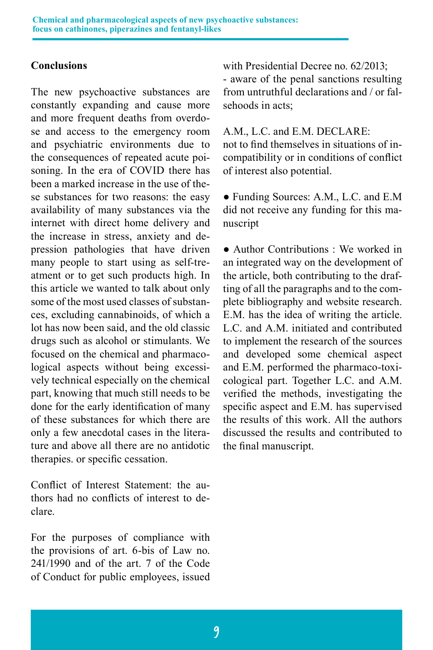### **Conclusions**

The new psychoactive substances are constantly expanding and cause more and more frequent deaths from overdose and access to the emergency room and psychiatric environments due to the consequences of repeated acute poisoning. In the era of COVID there has been a marked increase in the use of these substances for two reasons: the easy availability of many substances via the internet with direct home delivery and the increase in stress, anxiety and depression pathologies that have driven many people to start using as self-treatment or to get such products high. In this article we wanted to talk about only some of the most used classes of substances, excluding cannabinoids, of which a lot has now been said, and the old classic drugs such as alcohol or stimulants. We focused on the chemical and pharmacological aspects without being excessively technical especially on the chemical part, knowing that much still needs to be done for the early identification of many of these substances for which there are only a few anecdotal cases in the literature and above all there are no antidotic therapies. or specific cessation.

Conflict of Interest Statement: the authors had no conflicts of interest to declare.

For the purposes of compliance with the provisions of art. 6-bis of Law no. 241/1990 and of the art. 7 of the Code of Conduct for public employees, issued with Presidential Decree no. 62/2013; - aware of the penal sanctions resulting from untruthful declarations and / or falsehoods in acts;

A.M., L.C. and E.M. DECLARE:

not to find themselves in situations of incompatibility or in conditions of conflict of interest also potential.

● Funding Sources: A.M., L.C. and E.M did not receive any funding for this manuscript

● Author Contributions · We worked in an integrated way on the development of the article, both contributing to the drafting of all the paragraphs and to the complete bibliography and website research. E.M. has the idea of writing the article. L.C. and A.M. initiated and contributed to implement the research of the sources and developed some chemical aspect and E.M. performed the pharmaco-toxicological part. Together L.C. and A.M. verified the methods, investigating the specific aspect and E.M. has supervised the results of this work. All the authors discussed the results and contributed to the final manuscript.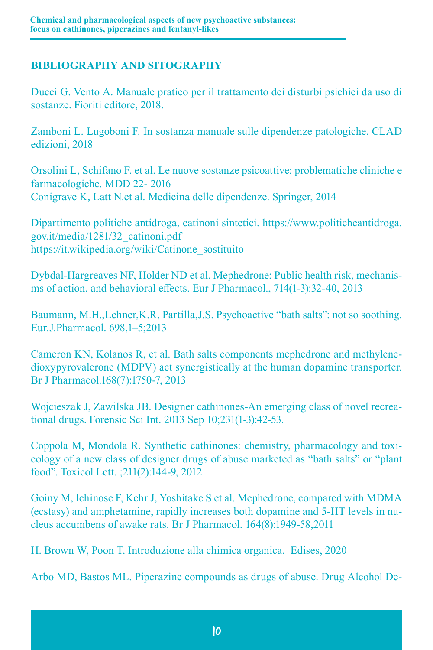### **BIBLIOGRAPHY AND SITOGRAPHY**

Ducci G. Vento A. Manuale pratico per il trattamento dei disturbi psichici da uso di sostanze. Fioriti editore, 2018.

Zamboni L. Lugoboni F. In sostanza manuale sulle dipendenze patologiche. CLAD edizioni, 2018

Orsolini L, Schifano F. et al. Le nuove sostanze psicoattive: problematiche cliniche e farmacologiche. MDD 22- 2016 Conigrave K, Latt N.et al. Medicina delle dipendenze. Springer, 2014

Dipartimento politiche antidroga, catinoni sintetici. https://www.politicheantidroga. gov.it/media/1281/32\_catinoni.pdf https://it.wikipedia.org/wiki/Catinone\_sostituito

Dybdal-Hargreaves NF, Holder ND et al. Mephedrone: Public health risk, mechanisms of action, and behavioral effects. Eur J Pharmacol., 714(1-3):32-40, 2013

Baumann, M.H.,Lehner,K.R, Partilla,J.S. Psychoactive "bath salts": not so soothing. Eur.J.Pharmacol. 698,1–5;2013

Cameron KN, Kolanos R, et al. Bath salts components mephedrone and methylenedioxypyrovalerone (MDPV) act synergistically at the human dopamine transporter. Br J Pharmacol.168(7):1750-7, 2013

Wojcieszak J, Zawilska JB. Designer cathinones-An emerging class of novel recreational drugs. Forensic Sci Int. 2013 Sep 10;231(1-3):42-53.

Coppola M, Mondola R. Synthetic cathinones: chemistry, pharmacology and toxicology of a new class of designer drugs of abuse marketed as "bath salts" or "plant food". Toxicol Lett. ;211(2):144-9, 2012

Goiny M, Ichinose F, Kehr J, Yoshitake S et al. Mephedrone, compared with MDMA (ecstasy) and amphetamine, rapidly increases both dopamine and 5-HT levels in nucleus accumbens of awake rats. Br J Pharmacol. 164(8):1949-58,2011

H. Brown W, Poon T. Introduzione alla chimica organica. Edises, 2020

Arbo MD, Bastos ML. Piperazine compounds as drugs of abuse. Drug Alcohol De-